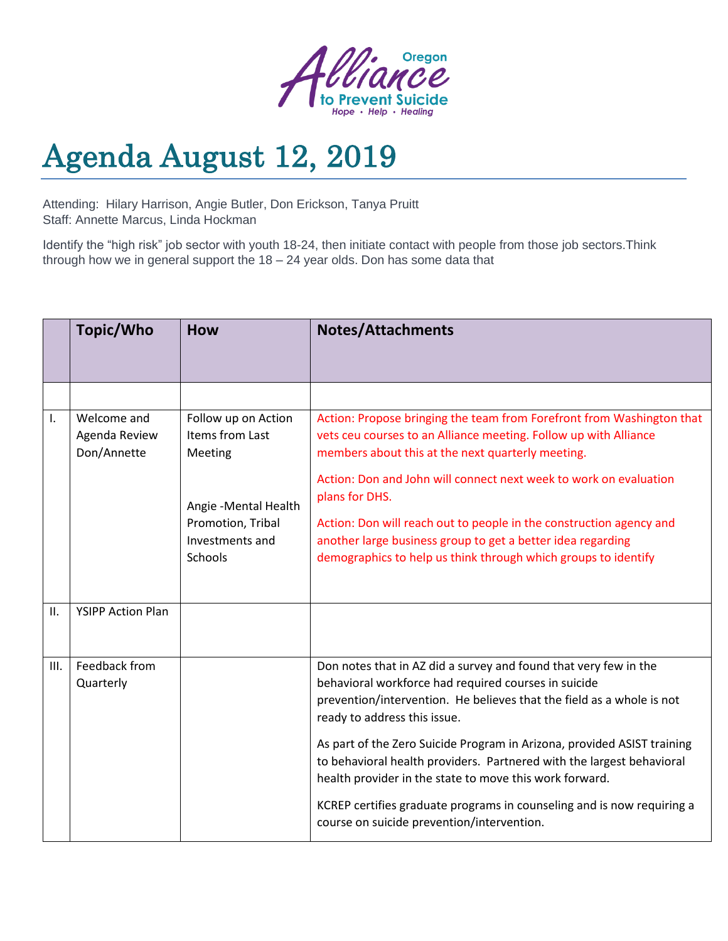

## Agenda August 12, 2019

Attending: Hilary Harrison, Angie Butler, Don Erickson, Tanya Pruitt Staff: Annette Marcus, Linda Hockman

Identify the "high risk" job sector with youth 18-24, then initiate contact with people from those job sectors.Think through how we in general support the 18 – 24 year olds. Don has some data that

|      | Topic/Who                                   | <b>How</b>                                                                                      | <b>Notes/Attachments</b>                                                                                                                                                                                                                                                                                                                                     |
|------|---------------------------------------------|-------------------------------------------------------------------------------------------------|--------------------------------------------------------------------------------------------------------------------------------------------------------------------------------------------------------------------------------------------------------------------------------------------------------------------------------------------------------------|
|      |                                             |                                                                                                 |                                                                                                                                                                                                                                                                                                                                                              |
| ı.   | Welcome and<br>Agenda Review<br>Don/Annette | Follow up on Action<br>Items from Last<br>Meeting<br>Angie - Mental Health<br>Promotion, Tribal | Action: Propose bringing the team from Forefront from Washington that<br>vets ceu courses to an Alliance meeting. Follow up with Alliance<br>members about this at the next quarterly meeting.<br>Action: Don and John will connect next week to work on evaluation<br>plans for DHS.<br>Action: Don will reach out to people in the construction agency and |
|      |                                             | Investments and<br><b>Schools</b>                                                               | another large business group to get a better idea regarding<br>demographics to help us think through which groups to identify                                                                                                                                                                                                                                |
| П.   | <b>YSIPP Action Plan</b>                    |                                                                                                 |                                                                                                                                                                                                                                                                                                                                                              |
| III. | Feedback from<br>Quarterly                  |                                                                                                 | Don notes that in AZ did a survey and found that very few in the<br>behavioral workforce had required courses in suicide<br>prevention/intervention. He believes that the field as a whole is not<br>ready to address this issue.                                                                                                                            |
|      |                                             |                                                                                                 | As part of the Zero Suicide Program in Arizona, provided ASIST training<br>to behavioral health providers. Partnered with the largest behavioral<br>health provider in the state to move this work forward.                                                                                                                                                  |
|      |                                             |                                                                                                 | KCREP certifies graduate programs in counseling and is now requiring a<br>course on suicide prevention/intervention.                                                                                                                                                                                                                                         |